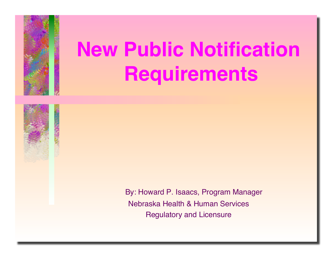# **New Public Notification Requirements**

 By: Howard P. Isaacs, Program Manager Nebraska Health & Human Services Regulatory and Licensure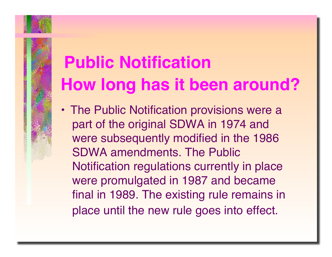# **Public Notification How long has it been around?**

• The Public Notification provisions were a part of the original SDWA in 1974 and were subsequently modified in the 1986 SDWA amendments. The Public Notification regulations currently in place were promulgated in 1987 and became final in 1989. The existing rule remains in place until the new rule goes into effect.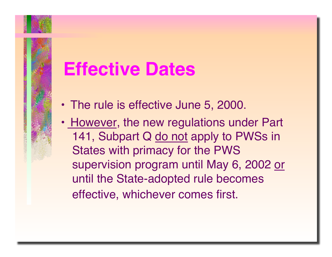### **Effective Dates**

- The rule is effective June 5, 2000.
- However, the new regulations under Part 141, Subpart Q do not apply to PWSs in States with primacy for the PWS supervision program until May 6, 2002 or until the State-adopted rule becomes effective, whichever comes first.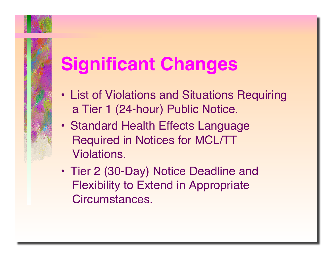# **Significant Changes**

- List of Violations and Situations Requiring a Tier 1 (24-hour) Public Notice.
- Standard Health Effects Language Required in Notices for MCL/TT Violations.
- Tier 2 (30-Day) Notice Deadline and Flexibility to Extend in Appropriate Circumstances.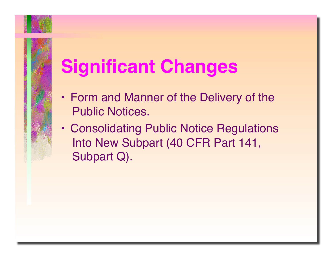# **Significant Changes**

- Form and Manner of the Delivery of the Public Notices.
- Consolidating Public Notice Regulations Into New Subpart (40 CFR Part 141, Subpart Q).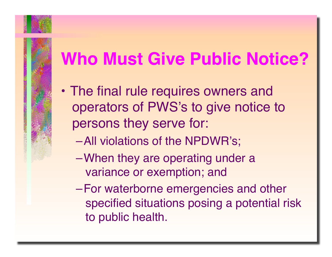### **Who Must Give Public Notice?**

- The final rule requires owners and operators of PWS's to give notice to persons they serve for:
	- –All violations of the NPDWR's;
	- –When they are operating under a variance or exemption; and
	- –For waterborne emergencies and other specified situations posing a potential risk to public health.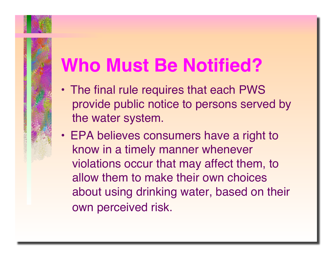# **Who Must Be Notified?**

- The final rule requires that each PWS provide public notice to persons served by the water system.
- EPA believes consumers have a right to know in a timely manner whenever violations occur that may affect them, to allow them to make their own choices about using drinking water, based on their own perceived risk.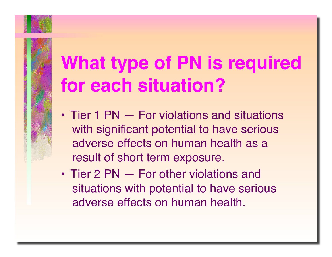# **What type of PN is required for each situation?**

- Tier 1 PN For violations and situations with significant potential to have serious adverse effects on human health as a result of short term exposure.
- Tier 2 PN For other violations and situations with potential to have serious adverse effects on human health.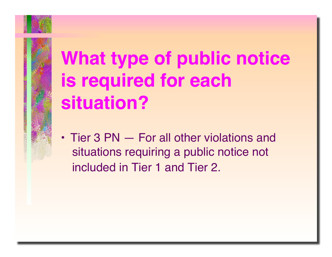

# **What type of public notice is required for each situation?**

• Tier 3 PN — For all other violations and situations requiring a public notice not included in Tier 1 and Tier 2.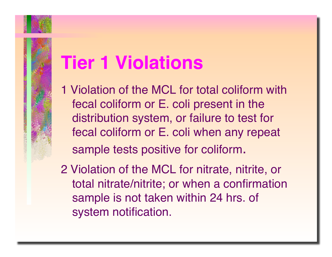- 1 Violation of the MCL for total coliform with fecal coliform or E. coli present in the distribution system, or failure to test for fecal coliform or E. coli when any repeat sample tests positive for coliform.
- 2 Violation of the MCL for nitrate, nitrite, or total nitrate/nitrite; or when a confirmation sample is not taken within 24 hrs. of system notification.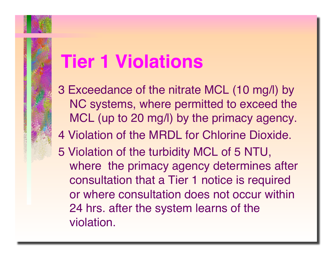3 Exceedance of the nitrate MCL (10 mg/l) by NC systems, where permitted to exceed the MCL (up to 20 mg/l) by the primacy agency.

4 Violation of the MRDL for Chlorine Dioxide.

5 Violation of the turbidity MCL of 5 NTU, where the primacy agency determines after consultation that a Tier 1 notice is required or where consultation does not occur within 24 hrs. after the system learns of the violation.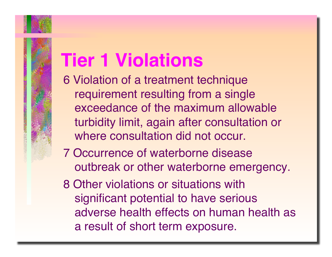

6 Violation of a treatment technique requirement resulting from a single exceedance of the maximum allowable turbidity limit, again after consultation or where consultation did not occur.

7 Occurrence of waterborne disease outbreak or other waterborne emergency.

8 Other violations or situations with significant potential to have serious adverse health effects on human health as a result of short term exposure.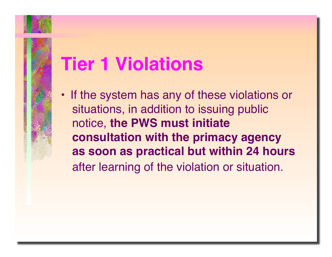• If the system has any of these violations or situations, in addition to issuing public notice, **the PWS must initiate consultation with the primacy agency as soon as practical but within 24 hours** after learning of the violation or situation.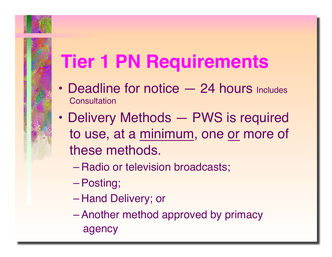# **Tier 1 PN Requirements**

- Deadline for notice 24 hours Includes **Consultation**
- Delivery Methods PWS is required to use, at a minimum, one or more of these methods.
	- Radio or television broadcasts;
	- Posting;
	- Hand Delivery; or
	- Another method approved by primacy agency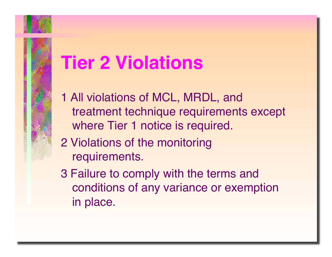

- 1 All violations of MCL, MRDL, and treatment technique requirements except where Tier 1 notice is required.
- 2 Violations of the monitoring requirements.
- 3 Failure to comply with the terms and conditions of any variance or exemption in place.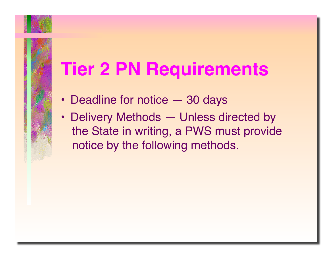### **Tier 2 PN Requirements**

- Deadline for notice 30 days
- Delivery Methods Unless directed by the State in writing, a PWS must provide notice by the following methods.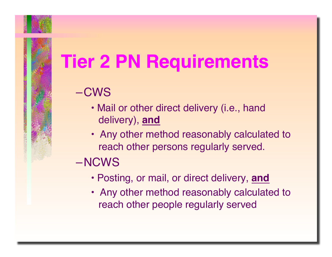# **Tier 2 PN Requirements**

### –CWS

- Mail or other direct delivery (i.e., hand delivery), **and**
- Any other method reasonably calculated to reach other persons regularly served.

### –NCWS

- Posting, or mail, or direct delivery, **and**
- Any other method reasonably calculated to reach other people regularly served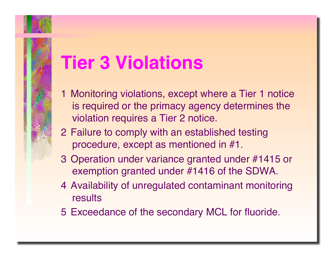- 1 Monitoring violations, except where a Tier 1 notice is required or the primacy agency determines the violation requires a Tier 2 notice.
- 2 Failure to comply with an established testing procedure, except as mentioned in #1.
- 3 Operation under variance granted under #1415 or exemption granted under #1416 of the SDWA.
- 4 Availability of unregulated contaminant monitoring results
- 5 Exceedance of the secondary MCL for fluoride.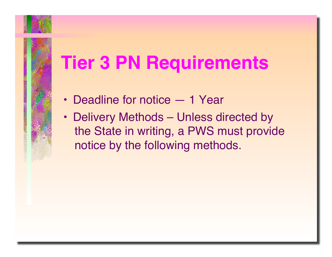### **Tier 3 PN Requirements**

- Deadline for notice  $-$  1 Year
- Delivery Methods Unless directed by the State in writing, a PWS must provide notice by the following methods.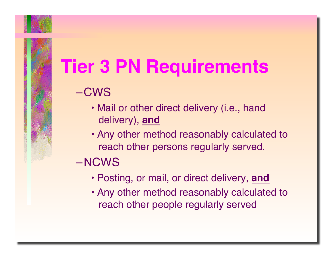# **Tier 3 PN Requirements**

### –CWS

- Mail or other direct delivery (i.e., hand delivery), **and**
- Any other method reasonably calculated to reach other persons regularly served.

### –NCWS

- Posting, or mail, or direct delivery, **and**
- Any other method reasonably calculated to reach other people regularly served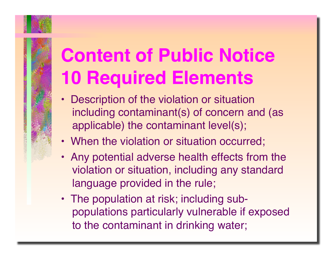### **Content of Public Notice 10 Required Elements**

- Description of the violation or situation including contaminant(s) of concern and (as applicable) the contaminant level(s);
- When the violation or situation occurred;
- Any potential adverse health effects from the violation or situation, including any standard language provided in the rule;
- The population at risk; including subpopulations particularly vulnerable if exposed to the contaminant in drinking water;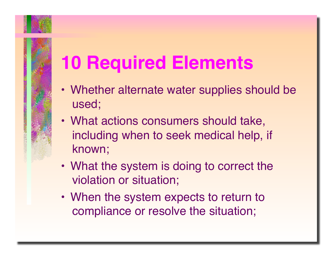# **10 Required Elements**

- Whether alternate water supplies should be used;
- What actions consumers should take, including when to seek medical help, if known;
- What the system is doing to correct the violation or situation;
- When the system expects to return to compliance or resolve the situation;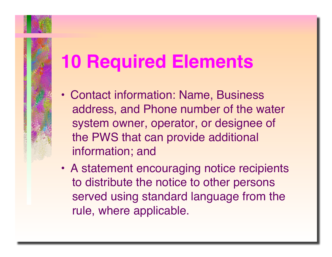# **10 Required Elements**

- Contact information: Name, Business address, and Phone number of the water system owner, operator, or designee of the PWS that can provide additional information; and
- A statement encouraging notice recipients to distribute the notice to other persons served using standard language from the rule, where applicable.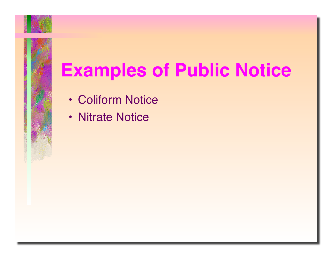### **Examples of Public Notice**

- Coliform Notice
- Nitrate Notice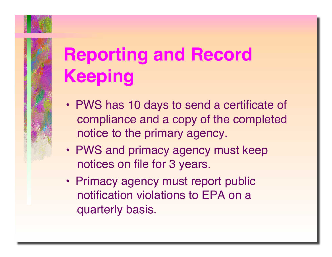# **Reporting and Record Keeping**

- PWS has 10 days to send a certificate of compliance and a copy of the completed notice to the primary agency.
- PWS and primacy agency must keep notices on file for 3 years.
- Primacy agency must report public notification violations to EPA on a quarterly basis.